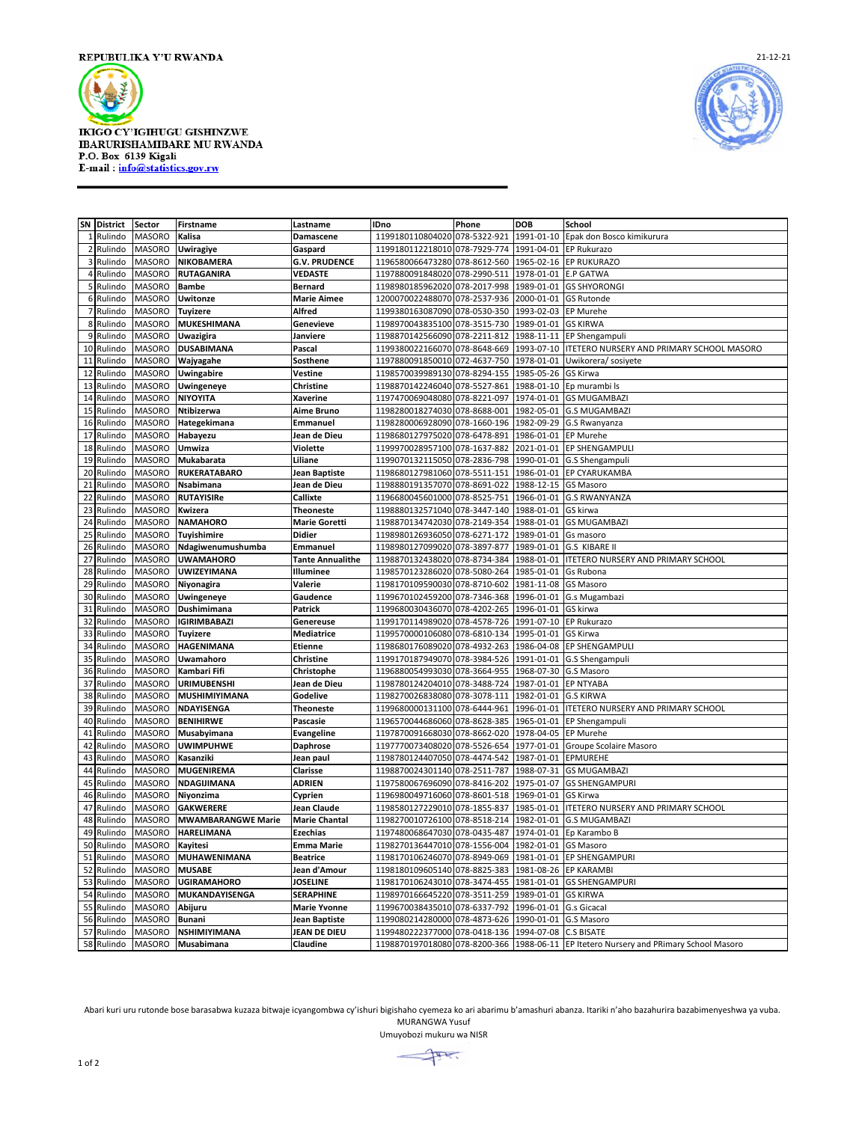





|                | SN District | Sector        | <b>Firstname</b>          | Lastname                | <b>IDno</b>                                         | Phone        | <b>DOB</b>             | School                                                                                |
|----------------|-------------|---------------|---------------------------|-------------------------|-----------------------------------------------------|--------------|------------------------|---------------------------------------------------------------------------------------|
|                | 1 Rulindo   | <b>MASORO</b> | Kalisa                    | Damascene               | 1199180110804020                                    | 078-5322-921 | 1991-01-10             | Epak don Bosco kimikurura                                                             |
| $\overline{2}$ | Rulindo     | <b>MASORO</b> | <b>Uwiragiye</b>          | Gaspard                 | 1199180112218010                                    | 078-7929-774 | 1991-04-01             | <b>EP Rukurazo</b>                                                                    |
| 3              | Rulindo     | <b>MASORO</b> | NIKOBAMERA                | <b>G.V. PRUDENCE</b>    | 1196580066473280                                    | 078-8612-560 | 1965-02-16             | <b>EP RUKURAZO</b>                                                                    |
|                | 4 Rulindo   | <b>MASORO</b> | <b>RUTAGANIRA</b>         | <b>VEDASTE</b>          | 1197880091848020                                    | 078-2990-511 | 1978-01-01             | <b>E.P GATWA</b>                                                                      |
|                | 5 Rulindo   | <b>MASORO</b> | <b>Bambe</b>              | <b>Bernard</b>          | 1198980185962020                                    | 078-2017-998 | 1989-01-01             | <b>GS SHYORONGI</b>                                                                   |
|                | 6 Rulindo   | <b>MASORO</b> | <b>Uwitonze</b>           | <b>Marie Aimee</b>      | 1200070022488070                                    | 078-2537-936 | 2000-01-01             | <b>GS Rutonde</b>                                                                     |
| $\overline{7}$ | Rulindo     | <b>MASORO</b> | <b>Tuyizere</b>           | Alfred                  | 1199380163087090 078-0530-350                       |              | 1993-02-03             | <b>EP Murehe</b>                                                                      |
|                | 8 Rulindo   | <b>MASORO</b> | MUKESHIMANA               | <b>Genevieve</b>        | 1198970043835100 078-3515-730                       |              | 1989-01-01             | <b>GS KIRWA</b>                                                                       |
| 9              | Rulindo     | <b>MASORO</b> | Uwazigira                 | Janviere                | 1198870142566090                                    | 078-2211-812 | 1988-11-11             | EP Shengampuli                                                                        |
|                | 10 Rulindo  | <b>MASORO</b> | <b>DUSABIMANA</b>         | Pascal                  | 1199380022166070 078-8648-669                       |              | 1993-07-10             | ITETERO NURSERY AND PRIMARY SCHOOL MASORO                                             |
| 11             | Rulindo     | MASORO        | Wajyagahe                 | Sosthene                | 1197880091850010                                    | 072-4637-750 | 1978-01-01             | Uwikorera/sosiyete                                                                    |
| 12             | Rulindo     | <b>MASORO</b> | Uwingabire                | Vestine                 | 1198570039989130 078-8294-155                       |              | 1985-05-26             | GS Kirwa                                                                              |
| 13             | Rulindo     | <b>MASORO</b> | <b>Uwingeneye</b>         | Christine               | 1198870142246040                                    | 078-5527-861 | 1988-01-10             | Ep murambi Is                                                                         |
| 14             | Rulindo     | <b>MASORO</b> | <b>NIYOYITA</b>           | Xaverine                | 1197470069048080                                    | 078-8221-097 | 1974-01-01             | <b>GS MUGAMBAZI</b>                                                                   |
| 15             | Rulindo     | <b>MASORO</b> | Ntibizerwa                | Aime Bruno              | 1198280018274030                                    | 078-8688-001 | 1982-05-01             | <b>G.S MUGAMBAZI</b>                                                                  |
| 16             | Rulindo     | <b>MASORO</b> | Hategekimana              | Emmanuel                | 1198280006928090 078-1660-196                       |              | 1982-09-29             | G.S Rwanyanza                                                                         |
| 17             | Rulindo     | <b>MASORO</b> | Habayezu                  | Jean de Dieu            | 1198680127975020                                    | 078-6478-891 | 1986-01-01             | <b>EP Murehe</b>                                                                      |
| 18             | Rulindo     | <b>MASORO</b> | Umwiza                    | Violette                | 1199970028957100                                    | 078-1637-882 | 2021-01-01             | <b>EP SHENGAMPULI</b>                                                                 |
| 19             | Rulindo     | MASORO        | <b>Mukabarata</b>         | Liliane                 | 1199070132115050                                    | 078-2836-798 | 1990-01-01             | G.S Shengampuli                                                                       |
|                | 20 Rulindo  | <b>MASORO</b> | <b>RUKERATABARO</b>       | Jean Baptiste           | 1198680127981060                                    | 078-5511-151 | 1986-01-01             | <b>EP CYARUKAMBA</b>                                                                  |
|                | 21 Rulindo  | <b>MASORO</b> | Nsabimana                 | Jean de Dieu            | 1198880191357070 078-8691-022                       |              | 1988-12-15             | <b>GS Masoro</b>                                                                      |
| 22             | Rulindo     | <b>MASORO</b> | <b>RUTAYISIRe</b>         | Callixte                | 1196680045601000 078-8525-751                       |              | 1966-01-01             | <b>G.S RWANYANZA</b>                                                                  |
| 23             | Rulindo     | <b>MASORO</b> | Kwizera                   | <b>Theoneste</b>        | 1198880132571040 078-3447-140                       |              | 1988-01-01             | GS kirwa                                                                              |
| 24             | Rulindo     | <b>MASORO</b> | <b>NAMAHORO</b>           | <b>Marie Goretti</b>    | 1198870134742030                                    | 078-2149-354 | 1988-01-01             | <b>GS MUGAMBAZI</b>                                                                   |
| 25             | Rulindo     | <b>MASORO</b> | <b>Tuyishimire</b>        | <b>Didier</b>           | 1198980126936050 078-6271-172                       |              | 1989-01-01             | Gs masoro                                                                             |
| 26             | Rulindo     | <b>MASORO</b> | Ndagiwenumushumba         | Emmanuel                | 1198980127099020 078-3897-877                       |              | 1989-01-01             | <b>G.S KIBARE II</b>                                                                  |
| 27             | Rulindo     | <b>MASORO</b> | <b>UWAMAHORO</b>          | <b>Tante Annualithe</b> | 1198870132438020 078-8734-384                       |              | 1988-01-01             | <b>ITETERO NURSERY AND PRIMARY SCHOOL</b>                                             |
| 28             | Rulindo     | <b>MASORO</b> | <b>UWIZEYIMANA</b>        | Illuminee               | 1198570123286020                                    | 078-5080-264 | 1985-01-01             | Gs Rubona                                                                             |
| 29             | Rulindo     | MASORO        | Niyonagira                | Valerie                 | 1198170109590030 078-8710-602                       |              | 1981-11-08             | <b>GS Masoro</b>                                                                      |
| 30             | Rulindo     | MASORO        | Uwingeneye                | Gaudence                | 1199670102459200                                    | 078-7346-368 | 1996-01-01             | G.s Mugambazi                                                                         |
| 31             | Rulindo     | <b>MASORO</b> | Dushimimana               | Patrick                 | 1199680030436070 078-4202-265                       |              | 1996-01-01             | GS kirwa                                                                              |
| 32             | Rulindo     | <b>MASORO</b> | <b>IGIRIMBABAZI</b>       | Genereuse               | 1199170114989020                                    | 078-4578-726 | 1991-07-10 EP Rukurazo |                                                                                       |
| 33             | Rulindo     | <b>MASORO</b> | <b>Tuyizere</b>           | Mediatrice              | 1199570000106080                                    | 078-6810-134 | 1995-01-01             | GS Kirwa                                                                              |
|                | 34 Rulindo  | <b>MASORO</b> | <b>HAGENIMANA</b>         | Etienne                 | 1198680176089020                                    | 078-4932-263 | 1986-04-08             | <b>EP SHENGAMPULI</b>                                                                 |
| 35             | Rulindo     | <b>MASORO</b> | Uwamahoro                 | Christine               | 1199170187949070                                    | 078-3984-526 | 1991-01-01             | G.S Shengampuli                                                                       |
| 36             | Rulindo     | <b>MASORO</b> | Kambari Fifi              | Christophe              | 1196880054993030                                    | 078-3664-955 | 1968-07-30             | G.S Masoro                                                                            |
| 37             | Rulindo     | <b>MASORO</b> | <b>URIMUBENSHI</b>        | Jean de Dieu            | 1198780124204010                                    | 078-3488-724 | 1987-01-01             | <b>EP NTYABA</b>                                                                      |
| 38             | Rulindo     | <b>MASORO</b> | MUSHIMIYIMANA             | Godelive                | 1198270026838080 078-3078-111                       |              | 1982-01-01             | <b>G.S KIRWA</b>                                                                      |
| 39             | Rulindo     | <b>MASORO</b> | NDAYISENGA                | <b>Theoneste</b>        | 1199680000131100                                    | 078-6444-961 | 1996-01-01             | ITETERO NURSERY AND PRIMARY SCHOOL                                                    |
| 40             | Rulindo     | <b>MASORO</b> | <b>BENIHIRWE</b>          | Pascasie                | 1196570044686060 078-8628-385                       |              | 1965-01-01             | EP Shengampuli                                                                        |
| 41             | Rulindo     | MASORO        | Musabyimana               | Evangeline              | 1197870091668030 078-8662-020                       |              | 1978-04-05             | EP Murehe                                                                             |
| 42             | Rulindo     | <b>MASORO</b> | <b>UWIMPUHWE</b>          | <b>Daphrose</b>         | 1197770073408020 078-5526-654                       |              | 1977-01-01             | Groupe Scolaire Masoro                                                                |
| 43             | Rulindo     | MASORO        | Kasanziki                 | Jean paul               | 1198780124407050 078-4474-542                       |              | 1987-01-01             | <b>EPMUREHE</b>                                                                       |
| 44             | Rulindo     | <b>MASORO</b> | <b>MUGENIREMA</b>         | Clarisse                | 1198870024301140 078-2511-787                       |              | 1988-07-31             | <b>GS MUGAMBAZI</b>                                                                   |
| 45             | Rulindo     | <b>MASORO</b> | NDAGIJIMANA               | ADRIEN                  | 1197580067696090                                    | 078-8416-202 | 1975-01-07             | <b>GS SHENGAMPURI</b>                                                                 |
| 46             | Rulindo     | <b>MASORO</b> | Niyonzima                 | Cyprien                 | 1196980049716060 078-8601-518                       |              | 1969-01-01             | <b>GS Kirwa</b>                                                                       |
| 47             | Rulindo     | <b>MASORO</b> | <b>GAKWERERE</b>          | Jean Claude             | 1198580127229010                                    | 078-1855-837 | 1985-01-01             | ITETERO NURSERY AND PRIMARY SCHOOL                                                    |
| 48             | Rulindo     | <b>MASORO</b> | <b>MWAMBARANGWE Marie</b> | <b>Marie Chantal</b>    | 1198270010726100                                    | 078-8518-214 | 1982-01-01             | <b>G.S MUGAMBAZI</b>                                                                  |
| 49             | Rulindo     | <b>MASORO</b> | <b>HARELIMANA</b>         | <b>Ezechias</b>         | 1197480068647030                                    | 078-0435-487 | 1974-01-01             | Ep Karambo B                                                                          |
|                | 50 Rulindo  | <b>MASORO</b> | Kayitesi                  | <b>Emma Marie</b>       | 1198270136447010                                    | 078-1556-004 | 1982-01-01             | <b>GS Masoro</b>                                                                      |
|                | 51 Rulindo  | <b>MASORO</b> | MUHAWENIMANA              | <b>Beatrice</b>         | 1198170106246070 078-8949-069                       |              | 1981-01-01             | <b>EP SHENGAMPURI</b>                                                                 |
| 52             | Rulindo     | <b>MASORO</b> | <b>MUSABE</b>             | Jean d'Amour            | 1198180109605140 078-8825-383                       |              | 1981-08-26             | <b>EP KARAMBI</b>                                                                     |
| 53             | Rulindo     | <b>MASORO</b> | <b>UGIRAMAHORO</b>        | <b>JOSELINE</b>         | 1198170106243010 078-3474-455                       |              | 1981-01-01             | <b>GS SHENGAMPURI</b>                                                                 |
| 54             | Rulindo     | MASORO        | MUKANDAYISENGA            | <b>SERAPHINE</b>        | 1198970166645220 078-3511-259                       |              | 1989-01-01             | <b>GS KIRWA</b>                                                                       |
| 55             | Rulindo     | <b>MASORO</b> | Abijuru                   | <b>Marie Yvonne</b>     | 1199670038435010 078-6337-792                       |              | 1996-01-01 G.s Gicacal |                                                                                       |
| 56             | Rulindo     | <b>MASORO</b> | <b>Bunani</b>             | Jean Baptiste           | 1199080214280000 078-4873-626                       |              | 1990-01-01             | G.S Masoro                                                                            |
| 57             | Rulindo     | <b>MASORO</b> | <b>NSHIMIYIMANA</b>       | <b>JEAN DE DIEU</b>     | 1199480222377000 078-0418-136 1994-07-08 C.S BISATE |              |                        |                                                                                       |
|                | 58 Rulindo  | <b>MASORO</b> | Musabimana                | Claudine                |                                                     |              |                        | 1198870197018080 078-8200-366 1988-06-11 EP Itetero Nursery and PRimary School Masoro |

Abari kuri uru rutonde bose barasabwa kuzaza bitwaje icyangombwa cy'ishuri bigishaho cyemeza ko ari abarimu b'amashuri abanza. Itariki n'aho bazahurira bazabimenyeshwa ya vuba. MURANGWA Yusuf

Umuyobozi mukuru wa NISR